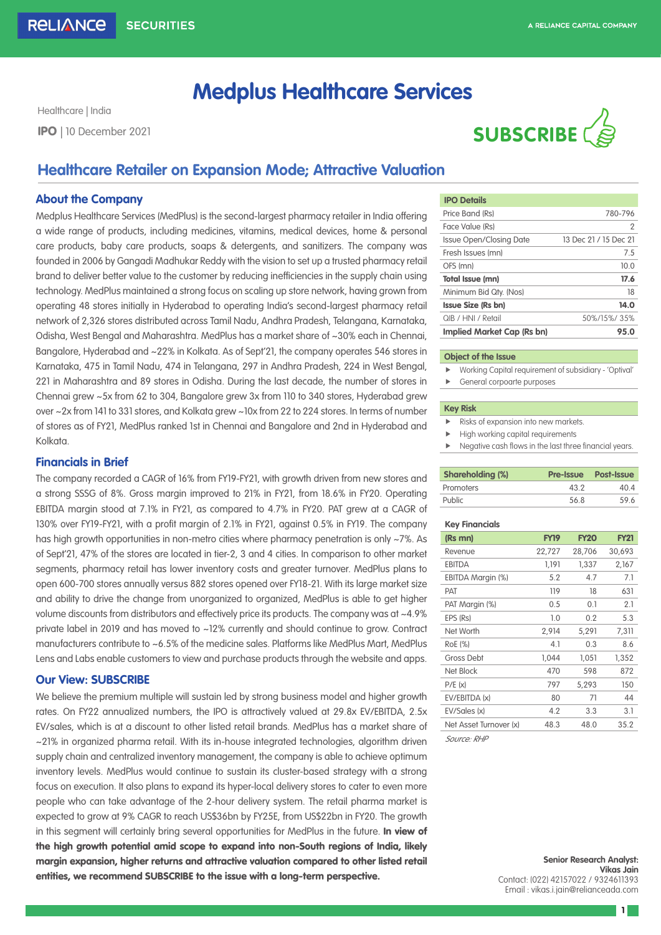# **Medplus Healthcare Services**

Healthcare | India



# **Healthcare Retailer on Expansion Mode; Attractive Valuation**

## **About the Company**

Medplus Healthcare Services (MedPlus) is the second-largest pharmacy retailer in India offering a wide range of products, including medicines, vitamins, medical devices, home & personal care products, baby care products, soaps & detergents, and sanitizers. The company was founded in 2006 by Gangadi Madhukar Reddy with the vision to set up a trusted pharmacy retail brand to deliver better value to the customer by reducing inefficiencies in the supply chain using technology. MedPlus maintained a strong focus on scaling up store network, having grown from operating 48 stores initially in Hyderabad to operating India's second-largest pharmacy retail network of 2,326 stores distributed across Tamil Nadu, Andhra Pradesh, Telangana, Karnataka, Odisha, West Bengal and Maharashtra. MedPlus has a market share of ~30% each in Chennai, Bangalore, Hyderabad and ~22% in Kolkata. As of Sept'21, the company operates 546 stores in Karnataka, 475 in Tamil Nadu, 474 in Telangana, 297 in Andhra Pradesh, 224 in West Bengal, 221 in Maharashtra and 89 stores in Odisha. During the last decade, the number of stores in Chennai grew ~5x from 62 to 304, Bangalore grew 3x from 110 to 340 stores, Hyderabad grew over ~2x from 141 to 331 stores, and Kolkata grew ~10x from 22 to 224 stores. In terms of number of stores as of FY21, MedPlus ranked 1st in Chennai and Bangalore and 2nd in Hyderabad and Kolkata.

# **Financials in Brief**

The company recorded a CAGR of 16% from FY19-FY21, with growth driven from new stores and a strong SSSG of 8%. Gross margin improved to 21% in FY21, from 18.6% in FY20. Operating EBITDA margin stood at 7.1% in FY21, as compared to 4.7% in FY20. PAT grew at a CAGR of 130% over FY19-FY21, with a profit margin of 2.1% in FY21, against 0.5% in FY19. The company has high growth opportunities in non-metro cities where pharmacy penetration is only ~7%. As of Sept'21, 47% of the stores are located in tier-2, 3 and 4 cities. In comparison to other market segments, pharmacy retail has lower inventory costs and greater turnover. MedPlus plans to open 600-700 stores annually versus 882 stores opened over FY18-21. With its large market size and ability to drive the change from unorganized to organized, MedPlus is able to get higher volume discounts from distributors and effectively price its products. The company was at ~4.9% private label in 2019 and has moved to ~12% currently and should continue to grow. Contract manufacturers contribute to ~6.5% of the medicine sales. Platforms like MedPlus Mart, MedPlus Lens and Labs enable customers to view and purchase products through the website and apps.

# **Our View: SUBSCRIBE**

We believe the premium multiple will sustain led by strong business model and higher growth rates. On FY22 annualized numbers, the IPO is attractively valued at 29.8x EV/EBITDA, 2.5x EV/sales, which is at a discount to other listed retail brands. MedPlus has a market share of ~21% in organized pharma retail. With its in-house integrated technologies, algorithm driven supply chain and centralized inventory management, the company is able to achieve optimum inventory levels. MedPlus would continue to sustain its cluster-based strategy with a strong focus on execution. It also plans to expand its hyper-local delivery stores to cater to even more people who can take advantage of the 2-hour delivery system. The retail pharma market is expected to grow at 9% CAGR to reach US\$36bn by FY25E, from US\$22bn in FY20. The growth in this segment will certainly bring several opportunities for MedPlus in the future. In view of the high growth potential amid scope to expand into non-South regions of India, likely margin expansion, higher returns and attractive valuation compared to other listed retail entities, we recommend SUBSCRIBE to the issue with a long-term perspective.

| <b>IPO Details</b>             |                       |
|--------------------------------|-----------------------|
| Price Band (Rs)                | 780-796               |
| Face Value (Rs)                | 2                     |
| <b>Issue Open/Closing Date</b> | 13 Dec 21 / 15 Dec 21 |
| Fresh Issues (mn)              | 7.5                   |
| OFS (mn)                       | 10.0                  |
| Total Issue (mn)               | 17.6                  |
| Minimum Bid Qty. (Nos)         | 18                    |
| <b>Issue Size (Rs bn)</b>      | 14.0                  |
| QIB / HNI / Retail             | 50%/15%/35%           |
| Implied Market Cap (Rs bn)     | 95.0                  |
|                                |                       |

#### **Object of the Issue**

- Working Capital requirement of subsidiary 'Optival'
- $\blacktriangleright$  General corpoarte purposes

### **Key Risk**

- Risks of expansion into new markets.
- High working capital requirements
- Negative cash flows in the last three financial years.

| <b>Shareholding (%)</b> |      | <b>Pre-Issue Post-Issue</b> |
|-------------------------|------|-----------------------------|
| Promoters               | 43.2 | 40 4                        |
| Public                  | 568  | 596                         |

### **Key Financials**

| (Rs mn)                | FY19   | <b>FY20</b> | <b>FY21</b> |
|------------------------|--------|-------------|-------------|
| Revenue                | 22,727 | 28,706      | 30,693      |
| <b>EBITDA</b>          | 1.191  | 1,337       | 2,167       |
| EBITDA Margin (%)      | 5.2    | 4.7         | 7.1         |
| <b>PAT</b>             | 119    | 18          | 631         |
| PAT Margin (%)         | 0.5    | 0.1         | 2.1         |
| EPS (Rs)               | 1.0    | 0.2         | 5.3         |
| Net Worth              | 2,914  | 5,291       | 7,311       |
| RoE (%)                | 4.1    | 0.3         | 8.6         |
| Gross Debt             | 1.044  | 1,051       | 1,352       |
| Net Block              | 470    | 598         | 872         |
| P/E(x)                 | 797    | 5,293       | 150         |
| EV/EBITDA (x)          | 80     | 71          | 44          |
| EV/Sales (x)           | 4.2    | 3.3         | 3.1         |
| Net Asset Turnover (x) | 48.3   | 48.0        | 35.2        |

*Source: RHP* 

**Senior Research Analyst: Vikas Jain** Contact: (022) 42157022 / 9324611393 Email : vikas.i.jain@relianceada.com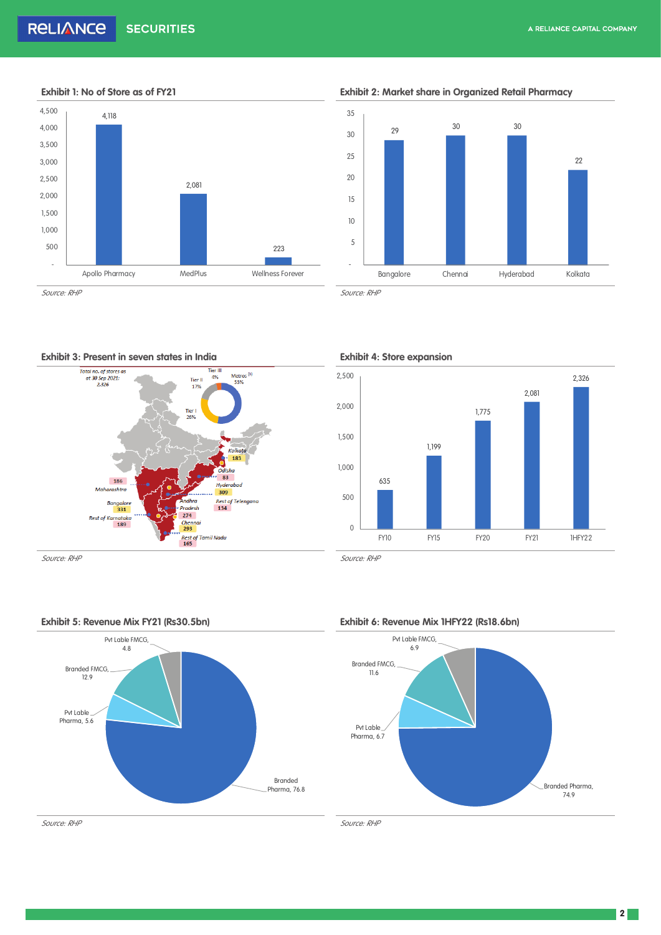

**Exhibit 1: No of Store as of FY21 Exhibit 2: Market share in Organized Retail Pharmacy**





*Source: RHP Source: RHP*







**2**